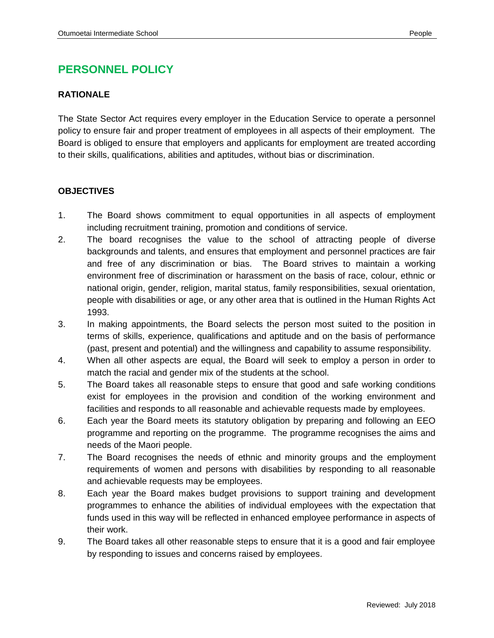## **PERSONNEL POLICY**

## **RATIONALE**

The State Sector Act requires every employer in the Education Service to operate a personnel policy to ensure fair and proper treatment of employees in all aspects of their employment. The Board is obliged to ensure that employers and applicants for employment are treated according to their skills, qualifications, abilities and aptitudes, without bias or discrimination.

## **OBJECTIVES**

- 1. The Board shows commitment to equal opportunities in all aspects of employment including recruitment training, promotion and conditions of service.
- 2. The board recognises the value to the school of attracting people of diverse backgrounds and talents, and ensures that employment and personnel practices are fair and free of any discrimination or bias. The Board strives to maintain a working environment free of discrimination or harassment on the basis of race, colour, ethnic or national origin, gender, religion, marital status, family responsibilities, sexual orientation, people with disabilities or age, or any other area that is outlined in the Human Rights Act 1993.
- 3. In making appointments, the Board selects the person most suited to the position in terms of skills, experience, qualifications and aptitude and on the basis of performance (past, present and potential) and the willingness and capability to assume responsibility.
- 4. When all other aspects are equal, the Board will seek to employ a person in order to match the racial and gender mix of the students at the school.
- 5. The Board takes all reasonable steps to ensure that good and safe working conditions exist for employees in the provision and condition of the working environment and facilities and responds to all reasonable and achievable requests made by employees.
- 6. Each year the Board meets its statutory obligation by preparing and following an EEO programme and reporting on the programme. The programme recognises the aims and needs of the Maori people.
- 7. The Board recognises the needs of ethnic and minority groups and the employment requirements of women and persons with disabilities by responding to all reasonable and achievable requests may be employees.
- 8. Each year the Board makes budget provisions to support training and development programmes to enhance the abilities of individual employees with the expectation that funds used in this way will be reflected in enhanced employee performance in aspects of their work.
- 9. The Board takes all other reasonable steps to ensure that it is a good and fair employee by responding to issues and concerns raised by employees.